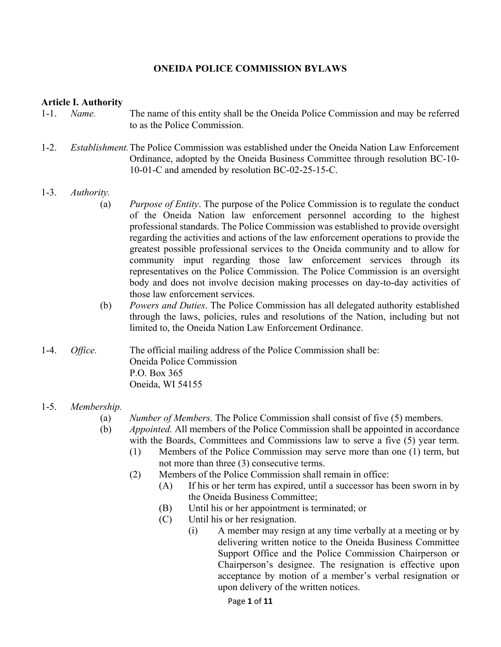### **ONEIDA POLICE COMMISSION BYLAWS**

#### **Article I. Authority**

- 1-1. *Name.* The name of this entity shall be the Oneida Police Commission and may be referred to as the Police Commission.
- 1-2. *Establishment.* The Police Commission was established under the Oneida Nation Law Enforcement Ordinance, adopted by the Oneida Business Committee through resolution BC-10- 10-01-C and amended by resolution BC-02-25-15-C.

#### 1-3. *Authority.*

- (a) *Purpose of Entity*. The purpose of the Police Commission is to regulate the conduct of the Oneida Nation law enforcement personnel according to the highest professional standards. The Police Commission was established to provide oversight regarding the activities and actions of the law enforcement operations to provide the greatest possible professional services to the Oneida community and to allow for community input regarding those law enforcement services through its representatives on the Police Commission. The Police Commission is an oversight body and does not involve decision making processes on day-to-day activities of those law enforcement services.
- (b) *Powers and Duties*. The Police Commission has all delegated authority established through the laws, policies, rules and resolutions of the Nation, including but not limited to, the Oneida Nation Law Enforcement Ordinance.
- 1-4. *Office.* The official mailing address of the Police Commission shall be: Oneida Police Commission P.O. Box 365 Oneida, WI 54155

#### 1-5. *Membership.*

- (a) *Number of Members.* The Police Commission shall consist of five (5) members.
- (b) *Appointed.* All members of the Police Commission shall be appointed in accordance with the Boards, Committees and Commissions law to serve a five  $(5)$  year term.
	- (1) Members of the Police Commission may serve more than one (1) term, but not more than three (3) consecutive terms.
	- (2) Members of the Police Commission shall remain in office:
		- (A) If his or her term has expired, until a successor has been sworn in by the Oneida Business Committee;
		- (B) Until his or her appointment is terminated; or
		- (C) Until his or her resignation.
			- (i) A member may resign at any time verbally at a meeting or by delivering written notice to the Oneida Business Committee Support Office and the Police Commission Chairperson or Chairperson's designee. The resignation is effective upon acceptance by motion of a member's verbal resignation or upon delivery of the written notices.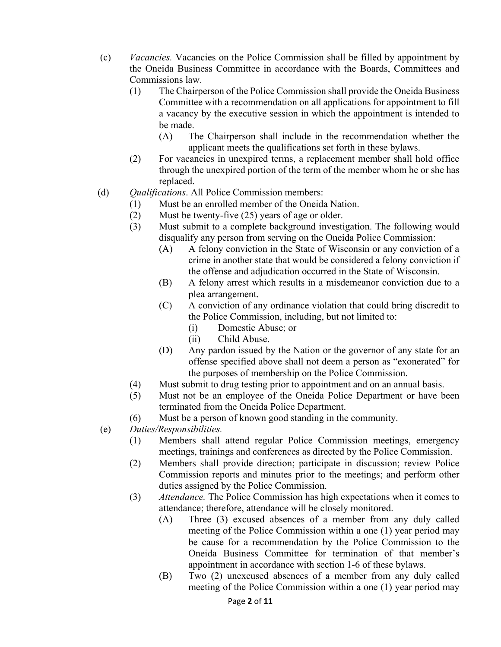- (c) *Vacancies.* Vacancies on the Police Commission shall be filled by appointment by the Oneida Business Committee in accordance with the Boards, Committees and Commissions law.
	- (1) The Chairperson of the Police Commission shall provide the Oneida Business Committee with a recommendation on all applications for appointment to fill a vacancy by the executive session in which the appointment is intended to be made.
		- (A) The Chairperson shall include in the recommendation whether the applicant meets the qualifications set forth in these bylaws.
	- (2) For vacancies in unexpired terms, a replacement member shall hold office through the unexpired portion of the term of the member whom he or she has replaced.
- (d) *Qualifications*. All Police Commission members:
	- (1) Must be an enrolled member of the Oneida Nation.
	- (2) Must be twenty-five (25) years of age or older.
	- (3) Must submit to a complete background investigation. The following would disqualify any person from serving on the Oneida Police Commission:
		- (A) A felony conviction in the State of Wisconsin or any conviction of a crime in another state that would be considered a felony conviction if the offense and adjudication occurred in the State of Wisconsin.
		- (B) A felony arrest which results in a misdemeanor conviction due to a plea arrangement.
		- (C) A conviction of any ordinance violation that could bring discredit to the Police Commission, including, but not limited to:
			- (i) Domestic Abuse; or
			- (ii) Child Abuse.
		- (D) Any pardon issued by the Nation or the governor of any state for an offense specified above shall not deem a person as "exonerated" for the purposes of membership on the Police Commission.
	- (4) Must submit to drug testing prior to appointment and on an annual basis.
	- (5) Must not be an employee of the Oneida Police Department or have been terminated from the Oneida Police Department.
	- (6) Must be a person of known good standing in the community.
- (e) *Duties/Responsibilities.* 
	- (1) Members shall attend regular Police Commission meetings, emergency meetings, trainings and conferences as directed by the Police Commission.
	- (2) Members shall provide direction; participate in discussion; review Police Commission reports and minutes prior to the meetings; and perform other duties assigned by the Police Commission.
	- (3) *Attendance.* The Police Commission has high expectations when it comes to attendance; therefore, attendance will be closely monitored.
		- (A) Three (3) excused absences of a member from any duly called meeting of the Police Commission within a one (1) year period may be cause for a recommendation by the Police Commission to the Oneida Business Committee for termination of that member's appointment in accordance with section 1-6 of these bylaws.
		- (B) Two (2) unexcused absences of a member from any duly called meeting of the Police Commission within a one (1) year period may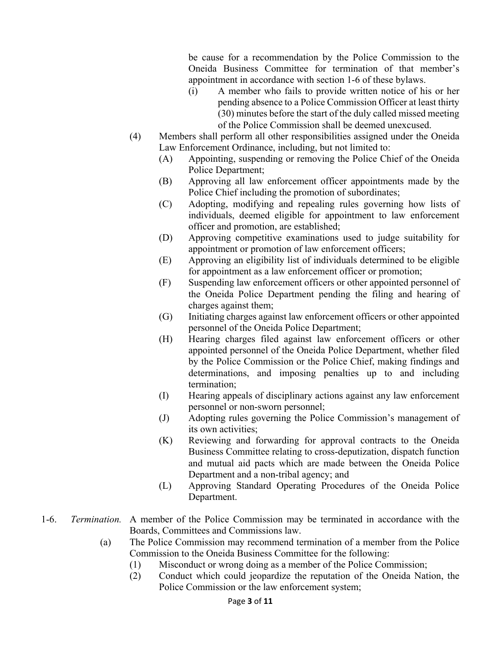be cause for a recommendation by the Police Commission to the Oneida Business Committee for termination of that member's appointment in accordance with section 1-6 of these bylaws.

- (i) A member who fails to provide written notice of his or her pending absence to a Police Commission Officer at least thirty (30) minutes before the start of the duly called missed meeting of the Police Commission shall be deemed unexcused.
- (4) Members shall perform all other responsibilities assigned under the Oneida Law Enforcement Ordinance, including, but not limited to:
	- (A) Appointing, suspending or removing the Police Chief of the Oneida Police Department;
	- (B) Approving all law enforcement officer appointments made by the Police Chief including the promotion of subordinates;
	- (C) Adopting, modifying and repealing rules governing how lists of individuals, deemed eligible for appointment to law enforcement officer and promotion, are established;
	- (D) Approving competitive examinations used to judge suitability for appointment or promotion of law enforcement officers;
	- (E) Approving an eligibility list of individuals determined to be eligible for appointment as a law enforcement officer or promotion;
	- (F) Suspending law enforcement officers or other appointed personnel of the Oneida Police Department pending the filing and hearing of charges against them;
	- (G) Initiating charges against law enforcement officers or other appointed personnel of the Oneida Police Department;
	- (H) Hearing charges filed against law enforcement officers or other appointed personnel of the Oneida Police Department, whether filed by the Police Commission or the Police Chief, making findings and determinations, and imposing penalties up to and including termination;
	- (I) Hearing appeals of disciplinary actions against any law enforcement personnel or non-sworn personnel;
	- (J) Adopting rules governing the Police Commission's management of its own activities;
	- (K) Reviewing and forwarding for approval contracts to the Oneida Business Committee relating to cross-deputization, dispatch function and mutual aid pacts which are made between the Oneida Police Department and a non-tribal agency; and
	- (L) Approving Standard Operating Procedures of the Oneida Police Department.
- 1-6. *Termination.* A member of the Police Commission may be terminated in accordance with the Boards, Committees and Commissions law.
	- (a) The Police Commission may recommend termination of a member from the Police Commission to the Oneida Business Committee for the following:
		- (1) Misconduct or wrong doing as a member of the Police Commission;
		- (2) Conduct which could jeopardize the reputation of the Oneida Nation, the Police Commission or the law enforcement system;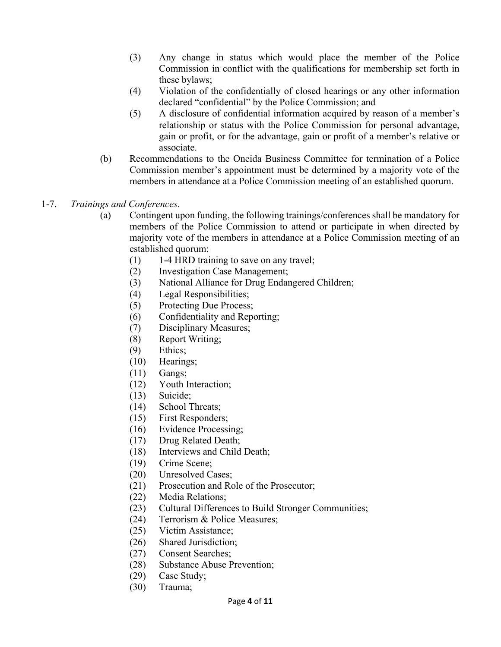- (3) Any change in status which would place the member of the Police Commission in conflict with the qualifications for membership set forth in these bylaws;
- (4) Violation of the confidentially of closed hearings or any other information declared "confidential" by the Police Commission; and
- (5) A disclosure of confidential information acquired by reason of a member's relationship or status with the Police Commission for personal advantage, gain or profit, or for the advantage, gain or profit of a member's relative or associate.
- (b) Recommendations to the Oneida Business Committee for termination of a Police Commission member's appointment must be determined by a majority vote of the members in attendance at a Police Commission meeting of an established quorum.
- 1-7. *Trainings and Conferences*.
	- (a) Contingent upon funding, the following trainings/conferences shall be mandatory for members of the Police Commission to attend or participate in when directed by majority vote of the members in attendance at a Police Commission meeting of an established quorum:
		- (1) 1-4 HRD training to save on any travel;
		- (2) Investigation Case Management;
		- (3) National Alliance for Drug Endangered Children;
		- (4) Legal Responsibilities;
		- (5) Protecting Due Process;
		- (6) Confidentiality and Reporting;
		- (7) Disciplinary Measures;
		- (8) Report Writing;
		- (9) Ethics;
		- (10) Hearings;
		- (11) Gangs;
		- (12) Youth Interaction;
		- (13) Suicide;
		- (14) School Threats;
		- (15) First Responders;
		- (16) Evidence Processing;
		- (17) Drug Related Death;
		- (18) Interviews and Child Death;
		- (19) Crime Scene;
		- (20) Unresolved Cases;
		- (21) Prosecution and Role of the Prosecutor;
		- (22) Media Relations;
		- (23) Cultural Differences to Build Stronger Communities;
		- (24) Terrorism & Police Measures;
		- (25) Victim Assistance;
		- (26) Shared Jurisdiction;
		- (27) Consent Searches;
		- (28) Substance Abuse Prevention;
		- (29) Case Study;
		- (30) Trauma;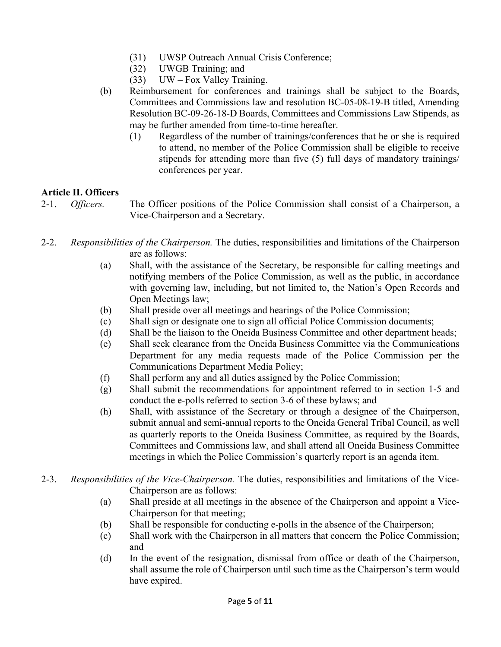- (31) UWSP Outreach Annual Crisis Conference;
- (32) UWGB Training; and
- (33) UW Fox Valley Training.
- (b) Reimbursement for conferences and trainings shall be subject to the Boards, Committees and Commissions law and resolution BC-05-08-19-B titled, Amending Resolution BC-09-26-18-D Boards, Committees and Commissions Law Stipends, as may be further amended from time-to-time hereafter.
	- (1) Regardless of the number of trainings/conferences that he or she is required to attend, no member of the Police Commission shall be eligible to receive stipends for attending more than five (5) full days of mandatory trainings/ conferences per year.

# **Article II. Officers**

2-1. *Officers.* The Officer positions of the Police Commission shall consist of a Chairperson, a Vice-Chairperson and a Secretary.

- 2-2. *Responsibilities of the Chairperson.* The duties, responsibilities and limitations of the Chairperson are as follows:
	- (a) Shall, with the assistance of the Secretary, be responsible for calling meetings and notifying members of the Police Commission, as well as the public, in accordance with governing law, including, but not limited to, the Nation's Open Records and Open Meetings law;
	- (b) Shall preside over all meetings and hearings of the Police Commission;
	- (c) Shall sign or designate one to sign all official Police Commission documents;
	- (d) Shall be the liaison to the Oneida Business Committee and other department heads;
	- (e) Shall seek clearance from the Oneida Business Committee via the Communications Department for any media requests made of the Police Commission per the Communications Department Media Policy;
	- (f) Shall perform any and all duties assigned by the Police Commission;
	- (g) Shall submit the recommendations for appointment referred to in section 1-5 and conduct the e-polls referred to section 3-6 of these bylaws; and
	- (h) Shall, with assistance of the Secretary or through a designee of the Chairperson, submit annual and semi-annual reports to the Oneida General Tribal Council, as well as quarterly reports to the Oneida Business Committee, as required by the Boards, Committees and Commissions law, and shall attend all Oneida Business Committee meetings in which the Police Commission's quarterly report is an agenda item.
- 2-3. *Responsibilities of the Vice*-*Chairperson.* The duties, responsibilities and limitations of the Vice- Chairperson are as follows:
	- (a) Shall preside at all meetings in the absence of the Chairperson and appoint a Vice- Chairperson for that meeting;
	- (b) Shall be responsible for conducting e-polls in the absence of the Chairperson;
	- (c) Shall work with the Chairperson in all matters that concern the Police Commission; and
	- (d) In the event of the resignation, dismissal from office or death of the Chairperson, shall assume the role of Chairperson until such time as the Chairperson's term would have expired.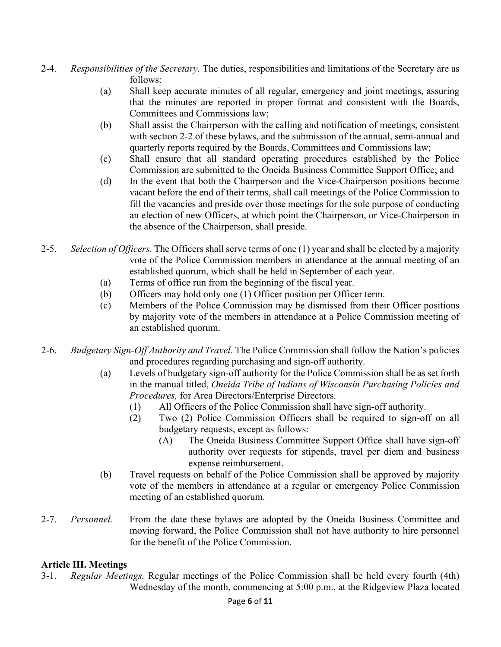- 2-4. *Responsibilities of the Secretary.* The duties, responsibilities and limitations of the Secretary are as follows:
	- (a) Shall keep accurate minutes of all regular, emergency and joint meetings, assuring that the minutes are reported in proper format and consistent with the Boards, Committees and Commissions law;
	- (b) Shall assist the Chairperson with the calling and notification of meetings, consistent with section 2-2 of these bylaws, and the submission of the annual, semi-annual and quarterly reports required by the Boards, Committees and Commissions law;
	- (c) Shall ensure that all standard operating procedures established by the Police Commission are submitted to the Oneida Business Committee Support Office; and
	- (d) In the event that both the Chairperson and the Vice-Chairperson positions become vacant before the end of their terms, shall call meetings of the Police Commission to fill the vacancies and preside over those meetings for the sole purpose of conducting an election of new Officers, at which point the Chairperson, or Vice-Chairperson in the absence of the Chairperson, shall preside.
- 2-5. *Selection of Officers.* The Officers shall serve terms of one (1) year and shall be elected by a majority vote of the Police Commission members in attendance at the annual meeting of an established quorum, which shall be held in September of each year.
	- (a) Terms of office run from the beginning of the fiscal year.
	- (b) Officers may hold only one (1) Officer position per Officer term.
	- (c) Members of the Police Commission may be dismissed from their Officer positions by majority vote of the members in attendance at a Police Commission meeting of an established quorum.
- 2-6. *Budgetary Sign-Off Authority and Travel.* The Police Commission shall follow the Nation's policies and procedures regarding purchasing and sign-off authority.
	- (a) Levels of budgetary sign-off authority for the Police Commission shall be as set forth in the manual titled, *Oneida Tribe of Indians of Wisconsin Purchasing Policies and Procedures,* for Area Directors/Enterprise Directors.
		- (1) All Officers of the Police Commission shall have sign-off authority.
		- (2) Two (2) Police Commission Officers shall be required to sign-off on all budgetary requests, except as follows:
			- (A) The Oneida Business Committee Support Office shall have sign-off authority over requests for stipends, travel per diem and business expense reimbursement.
	- (b) Travel requests on behalf of the Police Commission shall be approved by majority vote of the members in attendance at a regular or emergency Police Commission meeting of an established quorum.
- 2-7. *Personnel.* From the date these bylaws are adopted by the Oneida Business Committee and moving forward, the Police Commission shall not have authority to hire personnel for the benefit of the Police Commission.

### **Article III. Meetings**

3-1. *Regular Meetings.* Regular meetings of the Police Commission shall be held every fourth (4th) Wednesday of the month, commencing at 5:00 p.m., at the Ridgeview Plaza located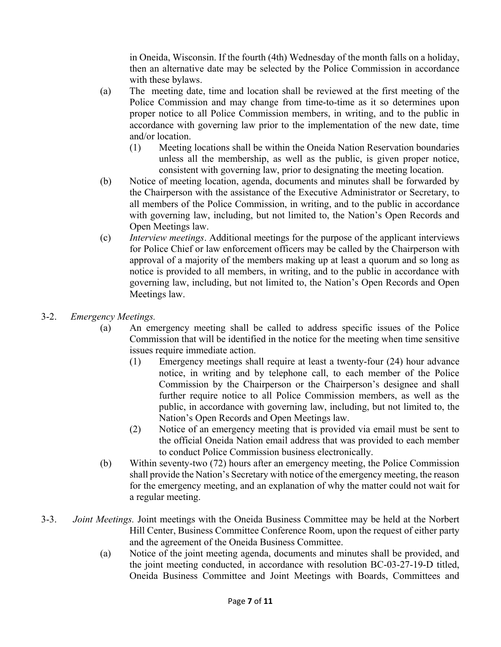in Oneida, Wisconsin. If the fourth (4th) Wednesday of the month falls on a holiday, then an alternative date may be selected by the Police Commission in accordance with these bylaws.

- (a) The meeting date, time and location shall be reviewed at the first meeting of the Police Commission and may change from time-to-time as it so determines upon proper notice to all Police Commission members, in writing, and to the public in accordance with governing law prior to the implementation of the new date, time and/or location.
	- (1) Meeting locations shall be within the Oneida Nation Reservation boundaries unless all the membership, as well as the public, is given proper notice, consistent with governing law, prior to designating the meeting location.
- (b) Notice of meeting location, agenda, documents and minutes shall be forwarded by the Chairperson with the assistance of the Executive Administrator or Secretary, to all members of the Police Commission, in writing, and to the public in accordance with governing law, including, but not limited to, the Nation's Open Records and Open Meetings law.
- (c) *Interview meetings*. Additional meetings for the purpose of the applicant interviews for Police Chief or law enforcement officers may be called by the Chairperson with approval of a majority of the members making up at least a quorum and so long as notice is provided to all members, in writing, and to the public in accordance with governing law, including, but not limited to, the Nation's Open Records and Open Meetings law.
- 3-2. *Emergency Meetings.* 
	- (a) An emergency meeting shall be called to address specific issues of the Police Commission that will be identified in the notice for the meeting when time sensitive issues require immediate action.
		- (1) Emergency meetings shall require at least a twenty-four (24) hour advance notice, in writing and by telephone call, to each member of the Police Commission by the Chairperson or the Chairperson's designee and shall further require notice to all Police Commission members, as well as the public, in accordance with governing law, including, but not limited to, the Nation's Open Records and Open Meetings law.
		- (2) Notice of an emergency meeting that is provided via email must be sent to the official Oneida Nation email address that was provided to each member to conduct Police Commission business electronically.
	- (b) Within seventy-two (72) hours after an emergency meeting, the Police Commission shall provide the Nation's Secretary with notice of the emergency meeting, the reason for the emergency meeting, and an explanation of why the matter could not wait for a regular meeting.
- 3-3. *Joint Meetings.* Joint meetings with the Oneida Business Committee may be held at the Norbert Hill Center, Business Committee Conference Room, upon the request of either party and the agreement of the Oneida Business Committee.
	- (a) Notice of the joint meeting agenda, documents and minutes shall be provided, and the joint meeting conducted, in accordance with resolution BC-03-27-19-D titled, Oneida Business Committee and Joint Meetings with Boards, Committees and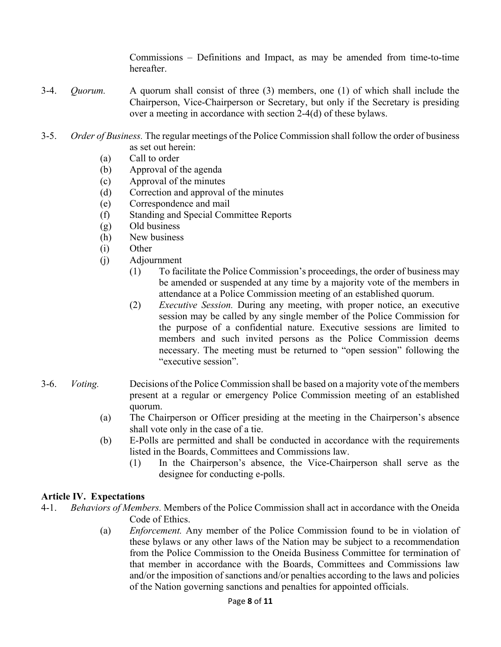Commissions – Definitions and Impact, as may be amended from time-to-time hereafter.

- 3-4. *Quorum.* A quorum shall consist of three (3) members, one (1) of which shall include the Chairperson, Vice-Chairperson or Secretary, but only if the Secretary is presiding over a meeting in accordance with section 2-4(d) of these bylaws.
- 3-5. *Order of Business.* The regular meetings of the Police Commission shall follow the order of business as set out herein:
	- (a) Call to order
	- (b) Approval of the agenda
	- (c) Approval of the minutes
	- (d) Correction and approval of the minutes
	- (e) Correspondence and mail
	- (f) Standing and Special Committee Reports
	- (g) Old business
	- (h) New business
	- (i) Other
	- (j) Adjournment
		- (1) To facilitate the Police Commission's proceedings, the order of business may be amended or suspended at any time by a majority vote of the members in attendance at a Police Commission meeting of an established quorum.
		- (2) *Executive Session.* During any meeting, with proper notice, an executive session may be called by any single member of the Police Commission for the purpose of a confidential nature. Executive sessions are limited to members and such invited persons as the Police Commission deems necessary. The meeting must be returned to "open session" following the "executive session".
- 3-6. *Voting.* Decisions of the Police Commission shall be based on a majority vote of the members present at a regular or emergency Police Commission meeting of an established quorum.
	- (a) The Chairperson or Officer presiding at the meeting in the Chairperson's absence shall vote only in the case of a tie.
	- (b) E-Polls are permitted and shall be conducted in accordance with the requirements listed in the Boards, Committees and Commissions law.
		- (1) In the Chairperson's absence, the Vice-Chairperson shall serve as the designee for conducting e-polls.

### **Article IV. Expectations**

- 4-1. *Behaviors of Members.* Members of the Police Commission shall act in accordance with the Oneida Code of Ethics.
	- (a) *Enforcement.* Any member of the Police Commission found to be in violation of these bylaws or any other laws of the Nation may be subject to a recommendation from the Police Commission to the Oneida Business Committee for termination of that member in accordance with the Boards, Committees and Commissions law and/or the imposition of sanctions and/or penalties according to the laws and policies of the Nation governing sanctions and penalties for appointed officials.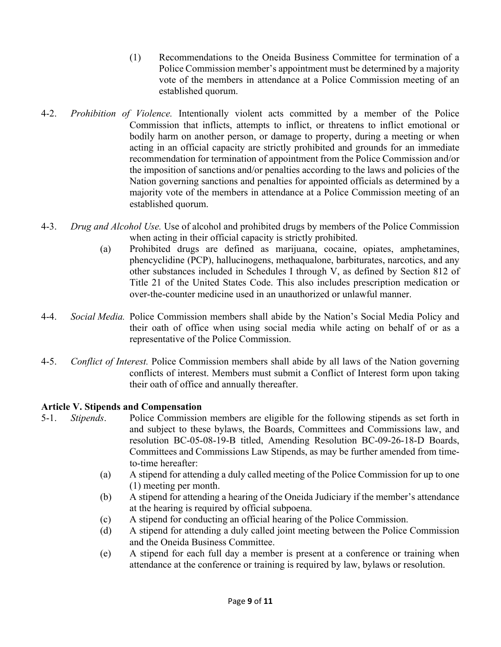- (1) Recommendations to the Oneida Business Committee for termination of a Police Commission member's appointment must be determined by a majority vote of the members in attendance at a Police Commission meeting of an established quorum.
- 4-2. *Prohibition of Violence.* Intentionally violent acts committed by a member of the Police Commission that inflicts, attempts to inflict, or threatens to inflict emotional or bodily harm on another person, or damage to property, during a meeting or when acting in an official capacity are strictly prohibited and grounds for an immediate recommendation for termination of appointment from the Police Commission and/or the imposition of sanctions and/or penalties according to the laws and policies of the Nation governing sanctions and penalties for appointed officials as determined by a majority vote of the members in attendance at a Police Commission meeting of an established quorum.
- 4-3. *Drug and Alcohol Use.* Use of alcohol and prohibited drugs by members of the Police Commission when acting in their official capacity is strictly prohibited.
	- (a) Prohibited drugs are defined as marijuana, cocaine, opiates, amphetamines, phencyclidine (PCP), hallucinogens, methaqualone, barbiturates, narcotics, and any other substances included in Schedules I through V, as defined by Section 812 of Title 21 of the United States Code. This also includes prescription medication or over-the-counter medicine used in an unauthorized or unlawful manner.
- 4-4. *Social Media.* Police Commission members shall abide by the Nation's Social Media Policy and their oath of office when using social media while acting on behalf of or as a representative of the Police Commission.
- 4-5. *Conflict of Interest.* Police Commission members shall abide by all laws of the Nation governing conflicts of interest. Members must submit a Conflict of Interest form upon taking their oath of office and annually thereafter.

# **Article V. Stipends and Compensation**

- 5-1. *Stipends*. Police Commission members are eligible for the following stipends as set forth in and subject to these bylaws, the Boards, Committees and Commissions law, and resolution BC-05-08-19-B titled, Amending Resolution BC-09-26-18-D Boards, Committees and Commissions Law Stipends, as may be further amended from time to-time hereafter:
	- (a) A stipend for attending a duly called meeting of the Police Commission for up to one (1) meeting per month.
	- (b) A stipend for attending a hearing of the Oneida Judiciary if the member's attendance at the hearing is required by official subpoena.
	- (c) A stipend for conducting an official hearing of the Police Commission.
	- (d) A stipend for attending a duly called joint meeting between the Police Commission and the Oneida Business Committee.
	- (e) A stipend for each full day a member is present at a conference or training when attendance at the conference or training is required by law, bylaws or resolution.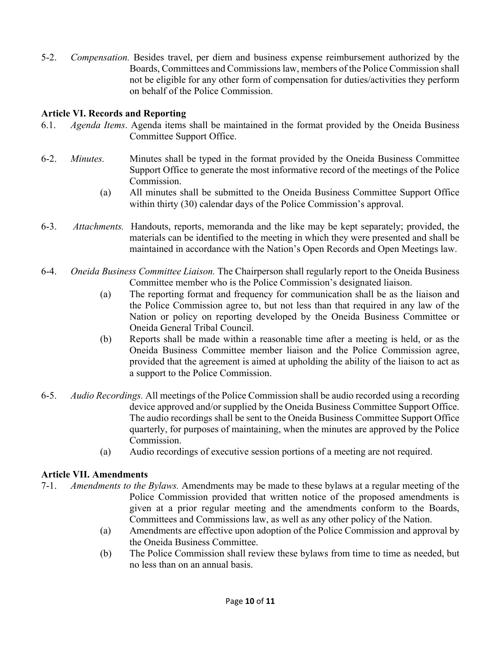5-2. *Compensation.* Besides travel, per diem and business expense reimbursement authorized by the Boards, Committees and Commissions law, members of the Police Commission shall not be eligible for any other form of compensation for duties/activities they perform on behalf of the Police Commission.

# **Article VI. Records and Reporting**

- 6.1. *Agenda Items*. Agenda items shall be maintained in the format provided by the Oneida Business Committee Support Office.
- 6-2. *Minutes.* Minutes shall be typed in the format provided by the Oneida Business Committee Support Office to generate the most informative record of the meetings of the Police Commission.
	- (a) All minutes shall be submitted to the Oneida Business Committee Support Office within thirty (30) calendar days of the Police Commission's approval.
- 6-3. *Attachments.* Handouts, reports, memoranda and the like may be kept separately; provided, the materials can be identified to the meeting in which they were presented and shall be maintained in accordance with the Nation's Open Records and Open Meetings law.
- 6-4. *Oneida Business Committee Liaison.* The Chairperson shall regularly report to the Oneida Business Committee member who is the Police Commission's designated liaison.
	- (a) The reporting format and frequency for communication shall be as the liaison and the Police Commission agree to, but not less than that required in any law of the Nation or policy on reporting developed by the Oneida Business Committee or Oneida General Tribal Council.
	- (b) Reports shall be made within a reasonable time after a meeting is held, or as the Oneida Business Committee member liaison and the Police Commission agree, provided that the agreement is aimed at upholding the ability of the liaison to act as a support to the Police Commission.
- 6-5. *Audio Recordings.* All meetings of the Police Commission shall be audio recorded using a recording device approved and/or supplied by the Oneida Business Committee Support Office. The audio recordings shall be sent to the Oneida Business Committee Support Office quarterly, for purposes of maintaining, when the minutes are approved by the Police Commission.
	- (a) Audio recordings of executive session portions of a meeting are not required.

### **Article VII. Amendments**

- 7-1. *Amendments to the Bylaws.* Amendments may be made to these bylaws at a regular meeting of the Police Commission provided that written notice of the proposed amendments is given at a prior regular meeting and the amendments conform to the Boards, Committees and Commissions law, as well as any other policy of the Nation.
	- (a) Amendments are effective upon adoption of the Police Commission and approval by the Oneida Business Committee.
	- (b) The Police Commission shall review these bylaws from time to time as needed, but no less than on an annual basis.